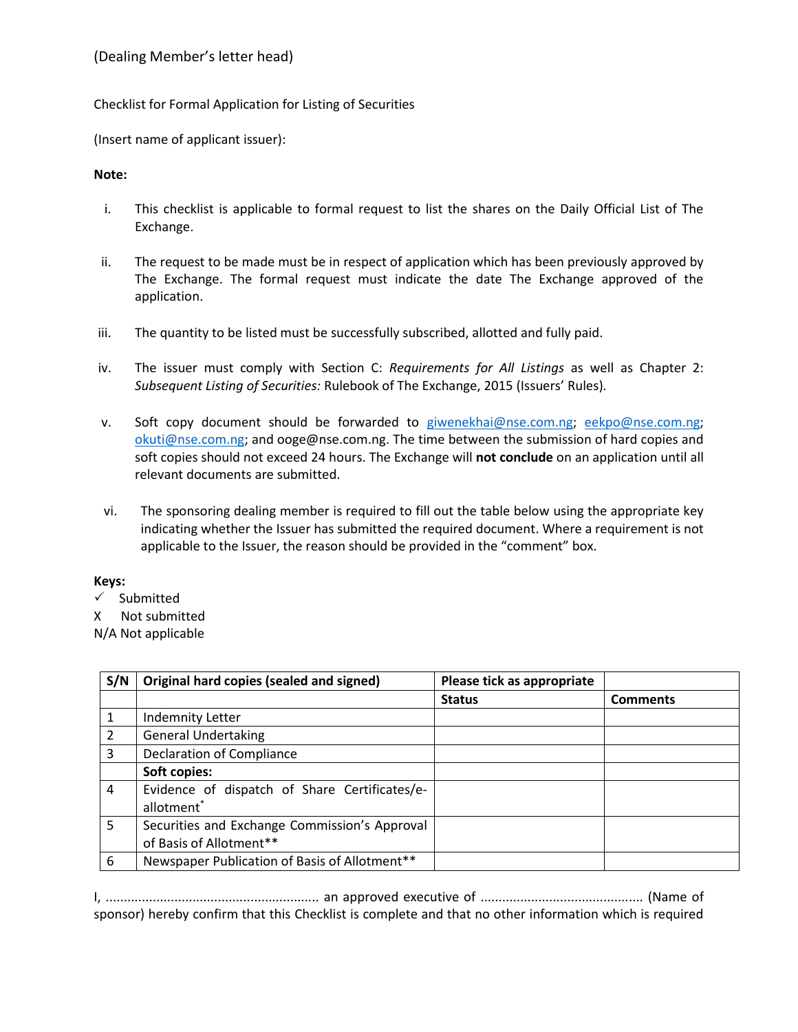## Checklist for Formal Application for Listing of Securities

(Insert name of applicant issuer):

## **Note:**

- i. This checklist is applicable to formal request to list the shares on the Daily Official List of The Exchange.
- ii. The request to be made must be in respect of application which has been previously approved by The Exchange. The formal request must indicate the date The Exchange approved of the application.
- iii. The quantity to be listed must be successfully subscribed, allotted and fully paid.
- iv. The issuer must comply with Section C: *Requirements for All Listings* as well as Chapter 2: *Subsequent Listing of Securities:* Rulebook of The Exchange, 2015 (Issuers' Rules)*.*
- v. Soft copy document should be forwarded to [giwenekhai@nse.com.ng;](mailto:giwenekhai@nse.com.ng) [eekpo@nse.com.ng;](mailto:eekpo@nse.com.ng) [okuti@nse.com.ng;](mailto:okuti@nse.com.ng) and ooge@nse.com.ng. The time between the submission of hard copies and soft copies should not exceed 24 hours. The Exchange will **not conclude** on an application until all relevant documents are submitted.
- vi. The sponsoring dealing member is required to fill out the table below using the appropriate key indicating whether the Issuer has submitted the required document. Where a requirement is not applicable to the Issuer, the reason should be provided in the "comment" box.

## **Keys:**

 $\checkmark$  Submitted

X Not submitted

N/A Not applicable

| S/N | Original hard copies (sealed and signed)                                | Please tick as appropriate |                 |
|-----|-------------------------------------------------------------------------|----------------------------|-----------------|
|     |                                                                         | <b>Status</b>              | <b>Comments</b> |
|     | <b>Indemnity Letter</b>                                                 |                            |                 |
| 2   | <b>General Undertaking</b>                                              |                            |                 |
| 3   | Declaration of Compliance                                               |                            |                 |
|     | Soft copies:                                                            |                            |                 |
| 4   | Evidence of dispatch of Share Certificates/e-<br>allotment <sup>*</sup> |                            |                 |
| 5   | Securities and Exchange Commission's Approval                           |                            |                 |
|     | of Basis of Allotment**                                                 |                            |                 |
| 6   | Newspaper Publication of Basis of Allotment**                           |                            |                 |

I, ........................................................... an approved executive of ............................................. (Name of sponsor) hereby confirm that this Checklist is complete and that no other information which is required